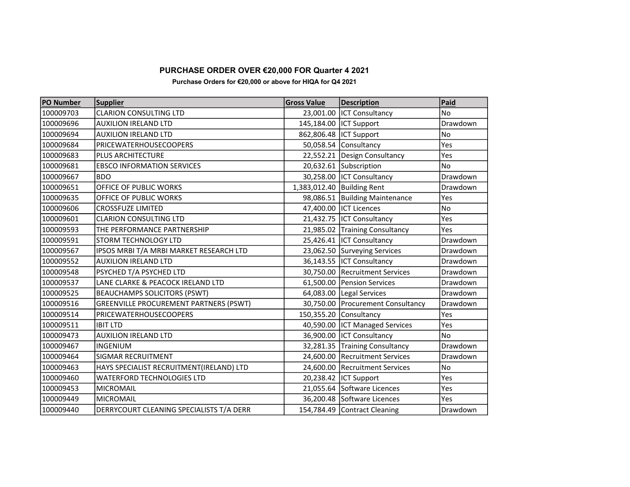## PURCHASE ORDER OVER €20,000 FOR Quarter 4 2021

Purchase Orders for €20,000 or above for HIQA for Q4 2021

| PO Number | <b>Supplier</b>                               | <b>Gross Value</b> | <b>Description</b>                | Paid           |
|-----------|-----------------------------------------------|--------------------|-----------------------------------|----------------|
| 100009703 | <b>CLARION CONSULTING LTD</b>                 |                    | 23,001.00 ICT Consultancy         | <b>No</b>      |
| 100009696 | <b>AUXILION IRELAND LTD</b>                   |                    | 145,184.00  ICT Support           | Drawdown       |
| 100009694 | <b>AUXILION IRELAND LTD</b>                   |                    | 862,806.48 ICT Support            | No             |
| 100009684 | PRICEWATERHOUSECOOPERS                        |                    | 50,058.54 Consultancy             | Yes            |
| 100009683 | PLUS ARCHITECTURE                             |                    | 22,552.21 Design Consultancy      | Yes            |
| 100009681 | <b>EBSCO INFORMATION SERVICES</b>             |                    | 20,632.61 Subscription            | N <sub>o</sub> |
| 100009667 | <b>BDO</b>                                    |                    | 30,258.00   ICT Consultancy       | Drawdown       |
| 100009651 | OFFICE OF PUBLIC WORKS                        |                    | 1,383,012.40 Building Rent        | Drawdown       |
| 100009635 | OFFICE OF PUBLIC WORKS                        |                    | 98,086.51 Building Maintenance    | Yes            |
| 100009606 | <b>CROSSFUZE LIMITED</b>                      |                    | 47,400.00  ICT Licences           | No             |
| 100009601 | <b>CLARION CONSULTING LTD</b>                 |                    | 21,432.75  ICT Consultancy        | Yes            |
| 100009593 | THE PERFORMANCE PARTNERSHIP                   |                    | 21,985.02 Training Consultancy    | Yes            |
| 100009591 | STORM TECHNOLOGY LTD                          |                    | 25,426.41   ICT Consultancy       | Drawdown       |
| 100009567 | IPSOS MRBI T/A MRBI MARKET RESEARCH LTD       |                    | 23,062.50 Surveying Services      | Drawdown       |
| 100009552 | <b>AUXILION IRELAND LTD</b>                   |                    | 36,143.55  ICT Consultancy        | Drawdown       |
| 100009548 | PSYCHED T/A PSYCHED LTD                       |                    | 30,750.00   Recruitment Services  | Drawdown       |
| 100009537 | LANE CLARKE & PEACOCK IRELAND LTD             |                    | 61,500.00 Pension Services        | Drawdown       |
| 100009525 | <b>BEAUCHAMPS SOLICITORS (PSWT)</b>           |                    | 64,083.00   Legal Services        | Drawdown       |
| 100009516 | <b>GREENVILLE PROCUREMENT PARTNERS (PSWT)</b> |                    | 30,750.00 Procurement Consultancy | Drawdown       |
| 100009514 | PRICEWATERHOUSECOOPERS                        |                    | 150,355.20 Consultancy            | Yes            |
| 100009511 | <b>IBIT LTD</b>                               |                    | 40,590.00   ICT Managed Services  | Yes            |
| 100009473 | <b>AUXILION IRELAND LTD</b>                   |                    | 36,900.00 ICT Consultancy         | No             |
| 100009467 | <b>INGENIUM</b>                               |                    | 32,281.35 Training Consultancy    | Drawdown       |
| 100009464 | <b>SIGMAR RECRUITMENT</b>                     |                    | 24,600.00 Recruitment Services    | Drawdown       |
| 100009463 | HAYS SPECIALIST RECRUITMENT(IRELAND) LTD      |                    | 24,600.00 Recruitment Services    | No             |
| 100009460 | <b>WATERFORD TECHNOLOGIES LTD</b>             |                    | 20,238.42 ICT Support             | Yes            |
| 100009453 | <b>MICROMAIL</b>                              |                    | 21,055.64 Software Licences       | Yes            |
| 100009449 | <b>MICROMAIL</b>                              |                    | 36,200.48 Software Licences       | Yes            |
| 100009440 | DERRYCOURT CLEANING SPECIALISTS T/A DERR      |                    | 154,784.49 Contract Cleaning      | Drawdown       |